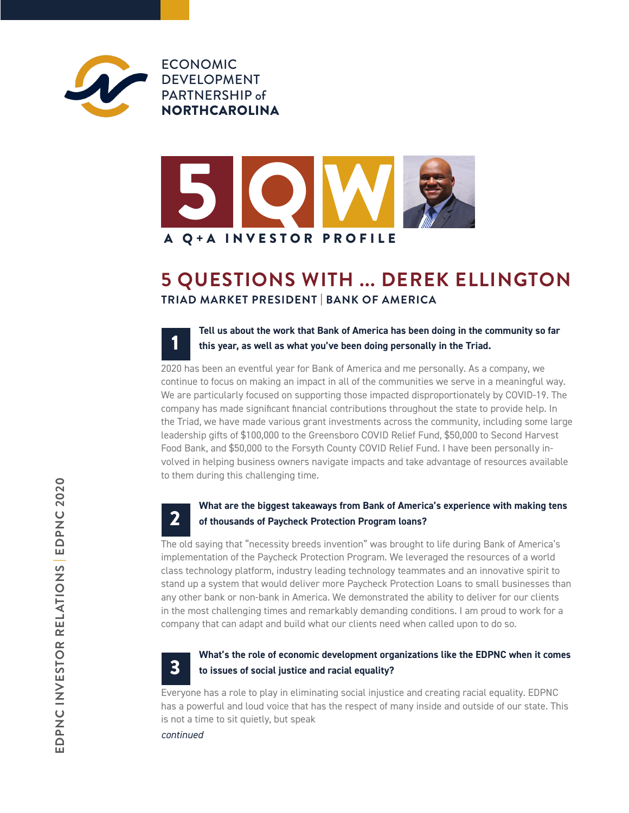

ECONOMIC DEVELOPMENT PARTNERSHIP of NORTHCAROLINA



## **5 QUESTIONS WITH ... DEREK ELLINGTON TRIAD MARKET PRESIDENT** | **BANK OF AMERICA**

**Tell us about the work that Bank of America has been doing in the community so far this year, as well as what you've been doing personally in the Triad.** 1

2020 has been an eventful year for Bank of America and me personally. As a company, we continue to focus on making an impact in all of the communities we serve in a meaningful way. We are particularly focused on supporting those impacted disproportionately by COVID-19. The company has made significant financial contributions throughout the state to provide help. In the Triad, we have made various grant investments across the community, including some large leadership gifts of \$100,000 to the Greensboro COVID Relief Fund, \$50,000 to Second Harvest Food Bank, and \$50,000 to the Forsyth County COVID Relief Fund. I have been personally involved in helping business owners navigate impacts and take advantage of resources available to them during this challenging time.

### **What are the biggest takeaways from Bank of America's experience with making tens of thousands of Paycheck Protection Program loans?** 2

The old saying that "necessity breeds invention" was brought to life during Bank of America's implementation of the Paycheck Protection Program. We leveraged the resources of a world class technology platform, industry leading technology teammates and an innovative spirit to stand up a system that would deliver more Paycheck Protection Loans to small businesses than any other bank or non-bank in America. We demonstrated the ability to deliver for our clients in the most challenging times and remarkably demanding conditions. I am proud to work for a company that can adapt and build what our clients need when called upon to do so.



## **What's the role of economic development organizations like the EDPNC when it comes to issues of social justice and racial equality?**

Everyone has a role to play in eliminating social injustice and creating racial equality. EDPNC has a powerful and loud voice that has the respect of many inside and outside of our state. This is not a time to sit quietly, but speak

*continued*